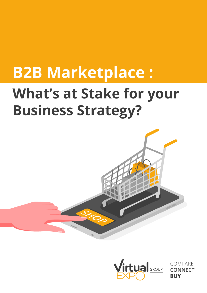# **B2B Marketplace :**

# **What's at Stake for your Business Strategy?**





COMPARF **NNFCT**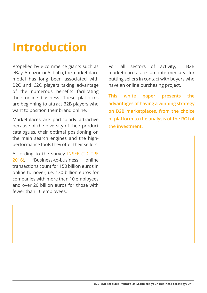## **Introduction**

Propelled by e-commerce giants such as eBay, Amazon or Alibaba, the marketplace model has long been associated with B2C and C2C players taking advantage of the numerous benefits facilitating their online business. These platforms are beginning to attract B2B players who want to position their brand online.

Marketplaces are particularly attractive because of the diversity of their product catalogues, their optimal positioning on the main search engines and the highperformance tools they offer their sellers.

According to the survey I[NSEE \(TIC-TPE](https://www.insee.fr/en/metadonnees/source/operation/s1071/presentation)  [2016\),](https://www.insee.fr/en/metadonnees/source/operation/s1071/presentation) "Business-to-business online transactions count for 150 billion euros in online turnover, i.e. 130 billion euros for companies with more than 10 employees and over 20 billion euros for those with fewer than 10 employees."

For all sectors of activity, B2B marketplaces are an intermediary for putting sellers in contact with buyers who have an online purchasing project.

**This white paper presents the advantages of having a winning strategy on B2B marketplaces, from the choice of platform to the analysis of the ROI of the investment.**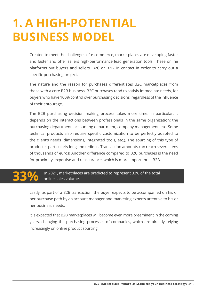#### **1. A HIGH-POTENTIAL BUSINESS MODEL**

Created to meet the challenges of e-commerce, marketplaces are developing faster and faster and offer sellers high-performance lead generation tools. These online platforms put buyers and sellers, B2C or B2B, in contact in order to carry out a specific purchasing project.

The nature and the reason for purchases differentiates B2C marketplaces from those with a core B2B business. B2C purchases tend to satisfy immediate needs, for buyers who have 100% control over purchasing decisions, regardless of the influence of their entourage.

The B2B purchasing decision making process takes more time. In particular, it depends on the interactions between professionals in the same organization: the purchasing department, accounting department, company management, etc. Some technical products also require specific customization to be perfectly adapted to the client's needs (dimensions, integrated tools, etc.). The sourcing of this type of product is particularly long and tedious. Transaction amounts can reach several tens of thousands of euros! Another difference compared to B2C purchases is the need for proximity, expertise and reassurance, which is more important in B2B.

#### In 2021, marketplaces are predicted to represent 33% of the total online sales volume. **33%**

Lastly, as part of a B2B transaction, the buyer expects to be accompanied on his or her purchase path by an account manager and marketing experts attentive to his or her business needs.

It is expected that B2B marketplaces will become even more preeminent in the coming years, changing the purchasing processes of companies, which are already relying increasingly on online product sourcing.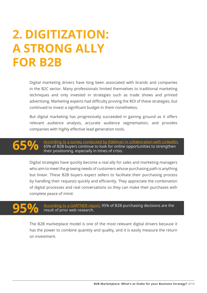#### **2. DIGITIZATION: A STRONG ALLY FOR B2B**

Digital marketing drivers have long been associated with brands and companies in the B2C sector. Many professionals limited themselves to traditional marketing techniques and only invested in strategies such as trade shows and printed advertising. Marketing experts had difficulty proving the ROI of these strategies, but continued to invest a significant budget in them nonetheless.

But digital marketing has progressively succeeded in gaining ground as it offers relevant audience analysis, accurate audience segmentation, and provides companies with highly effective lead generation tools.

### **65%**

[According to a survey conducted by Edelman in collaboration with LinkedIn,](https://business.linkedin.com/marketing-solutions/blog/linkedin-b2b-marketing/2020/finding-and-building-b2b-competitive-advantage-in-a-post-covid-marketplace?src=li-lmspage&veh=LMS_09.13.20_ADVANTAGE) 65% of B2B buyers continue to look for online opportunities to strengthen their positioning, especially in times of crisis.

Digital strategies have quickly become a real ally for sales and marketing managers who aim to meet the growing needs of customers whose purchasing path is anything but linear. These B2B buyers expect sellers to facilitate their purchasing process by handling their requests quickly and efficiently. They appreciate the combination of digital processes and real conversations so they can make their purchases with complete peace of mind.

#### **95%**

[According to a GARTNER report,](https://www.gartner.com/en/sales/insights/b2b-buying-journey) 95% of B2B purchasing decisions are the result of prior web research.

The B2B marketplace model is one of the most relevant digital drivers because it has the power to combine quantity and quality, and it is easily measure the return on investment.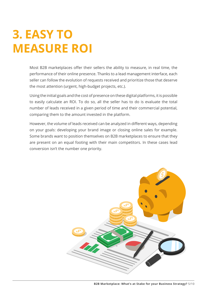### **3. EASY TO MEASURE ROI**

Most B2B marketplaces offer their sellers the ability to measure, in real time, the performance of their online presence. Thanks to a lead management interface, each seller can follow the evolution of requests received and prioritize those that deserve the most attention (urgent, high-budget projects, etc.).

Using the initial goals and the cost of presence on these digital platforms, it is possible to easily calculate an ROI. To do so, all the seller has to do is evaluate the total number of leads received in a given period of time and their commercial potential, comparing them to the amount invested in the platform.

However, the volume of leads received can be analyzed in different ways, depending on your goals: developing your brand image or closing online sales for example. Some brands want to position themselves on B2B marketplaces to ensure that they are present on an equal footing with their main competitors. In these cases lead conversion isn't the number one priority.

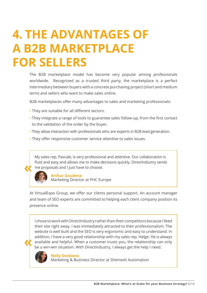### **4. THE ADVANTAGES OF A B2B MARKETPLACE FOR SELLERS**

The B2B marketplace model has become very popular among professionals worldwide. Recognized as a trusted third party, the marketplace is a perfect intermediary between buyers with a concrete purchasing project (short and medium term) and sellers who want to make sales online.

B2B marketplaces offer many advantages to sales and marketing professionals:

- They are suitable for all different sectors.
- They integrate a range of tools to guarantee sales follow-up, from the first contact to the validation of the order by the buyer.
- They allow interaction with professionals who are experts in B2B lead generation.
- They offer responsive customer service attentive to sales issues.

My sales rep, Pascale, is very professional and attentive. Our collaboration is fluid and easy and allows me to make decisions quickly. DirectIndustry sends me proposals and I just have to choose.



#### **Arthur Goudena**

Marketing Director at PHC Europe

At VirtualExpo Group, we offer our clients personal support. An account manager and team of SEO experts are committed to helping each client company position its presence online.

I chose to work with DirectIndustry rather than their competitors because I liked their site right away. I was immediately attracted to their professionalism. The website is well built and the SEO is very ergonomic and easy to understand. In addition, I have a very good relationship with my sales rep, Helge. He is always available and helpful. When a customer trusts you, the relationship can only be a win-win situation. With DirectIndustry, I always get the help I need.



**Nelly Desbiens** Marketing & Business Director at Shemesh Automation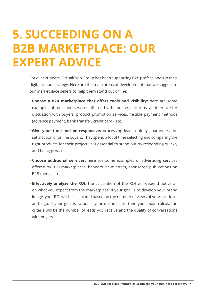#### **5. SUCCEEDING ON A B2B MARKETPLACE: OUR EXPERT ADVICE**

For over 20 years, VirtualExpo Group has been supporting B2B professionals in their digitalization strategy. Here are the main areas of development that we suggest to our marketplace sellers to help them stand out online:

- **Choose a B2B marketplace that offers tools and visibility:** here are some examples of tools and services offered by the online platforms: an interface for discussion with buyers, product promotion services, flexible payment methods (advance payment, bank transfer, credit card), etc.
- **Give your time and be responsive:** processing leads quickly guarantees the satisfaction of online buyers. They spend a lot of time selecting and comparing the right products for their project. It is essential to stand out by responding quickly and being proactive.
- **Choose additional services:** here are some examples of advertising services offered by B2B marketplaces: banners, newsletters, sponsored publications on B2B media, etc.
- **Effectively analyze the ROI:** the calculation of the ROI will depend above all on what you expect from the marketplace. If your goal is to develop your brand image, your ROI will be calculated based on the number of views of your products and logo. If your goal is to boost your online sales, then your main calculation criteria will be the number of leads you receive and the quality of conversations with buyers.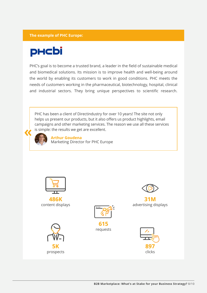#### **The example of PHC Europe:**

#### **PHCbi**

PHC's goal is to become a trusted brand, a leader in the field of sustainable medical and biomedical solutions. Its mission is to improve health and well-being around the world by enabling its customers to work in good conditions. PHC meets the needs of customers working in the pharmaceutical, biotechnology, hospital, clinical and industrial sectors. They bring unique perspectives to scientific research.

PHC has been a client of Directindustry for over 10 years! The site not only helps us present our products, but it also offers us product highlights, email campaigns and other marketing services. The reason we use all these services is simple: the results we get are excellent.



**Arthur Goudena**

Marketing Director for PHC Europe



**486K** content displays

> **5K** prospects





**31M** advertising displays

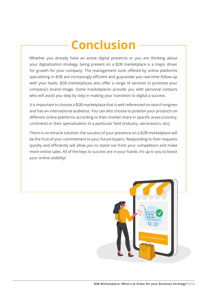## **Conclusion**

Whether you already have an active digital presence or you are thinking about your digitalization strategy, being present on a B2B marketplace is a major driver for growth for your company. The management tools offered by online platforms specializing in B2B are increasingly efficient and guarantee you real-time follow-up with your leads. B2B marketplaces also offer a range of services to promote your company's brand image. Some marketplaces provide you with personal contacts who will assist you step by step in making your transition to digital a success.

It is important to choose a B2B marketplace that is well referenced on search engines and has an international audience. You can also choose to position your products on different online platforms according to their market share in specific areas (country, continent) or their specialization in a particular field (industry, aeronautics, etc).

There is no miracle solution: the success of your presence on a B2B marketplace will be the fruit of your commitment to your future buyers. Responding to their requests quickly and efficiently will allow you to stand out from your competitors and make more online sales. All of the keys to success are in your hands, it's up to you to boost your online visibility!